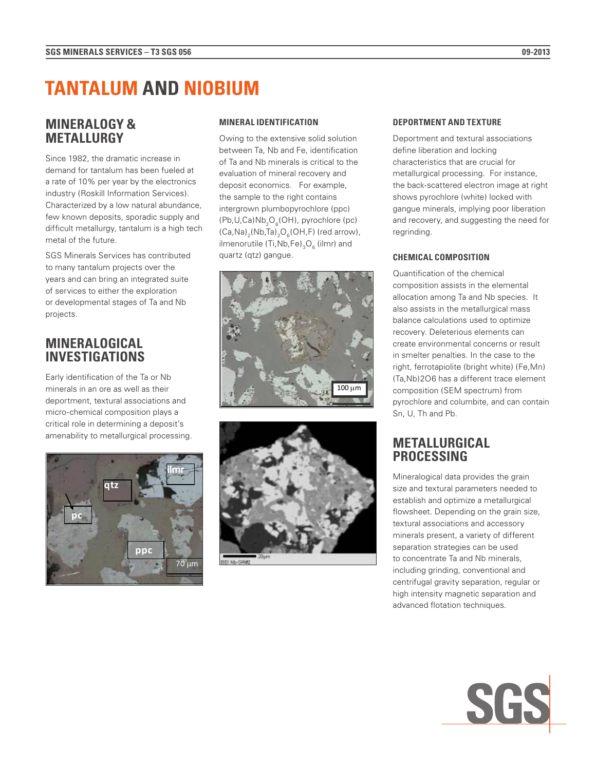# **TANTALUM AND NIOBIUM**

### **MINERALOGY & METALLURGY**

Since 1982, the dramatic increase in demand for tantalum has been fueled at a rate of 10% per year by the electronics industry (Roskill Information Services). Characterized by a low natural abundance, few known deposits, sporadic supply and difficult metallurgy, tantalum is a high tech metal of the future.

SGS Minerals Services has contributed to many tantalum projects over the years and can bring an integrated suite of services to either the exploration or developmental stages of Ta and Nb projects.

### **MINERALOGICAL INVESTIGATIONS**

Early identification of the Ta or Nb minerals in an ore as well as their deportment, textural associations and micro-chemical composition plays a critical role in determining a deposit's amenability to metallurgical processing.



### **MINERAL IDENTIFICATION**

Owing to the extensive solid solution between Ta, Nb and Fe, identification of Ta and Nb minerals is critical to the evaluation of mineral recovery and deposit economics. For example, the sample to the right contains intergrown plumbopyrochlore (ppc)  $(Pb, U, Ca)Nb<sub>2</sub>O<sub>6</sub>(OH)$ , pyrochlore (pc)  $(Ca,Na)_{2}(Nb,Ta)_{2}O_{6}(OH,F)$  (red arrow), ilmenorutile (Ti,Nb,Fe) $_{\rm 3} \rm{O}_{_6}$  (ilmr) and quartz (qtz) gangue.





#### **DEPORTMENT AND TEXTURE**

Deportment and textural associations define liberation and locking characteristics that are crucial for metallurgical processing. For instance, the back-scattered electron image at right shows pyrochlore (white) locked with gangue minerals, implying poor liberation and recovery, and suggesting the need for regrinding.

### **CHEMICAL COMPOSITION**

Quantification of the chemical composition assists in the elemental allocation among Ta and Nb species. It also assists in the metallurgical mass balance calculations used to optimize recovery. Deleterious elements can create environmental concerns or result in smelter penalties. In the case to the right, ferrotapiolite (bright white) (Fe,Mn) (Ta,Nb)2O6 has a different trace element composition (SEM spectrum) from pyrochlore and columbite, and can contain Sn, U, Th and Pb.

### **METALLURGICAL PROCESSING**

Mineralogical data provides the grain size and textural parameters needed to establish and optimize a metallurgical flowsheet. Depending on the grain size, textural associations and accessory minerals present, a variety of different separation strategies can be used to concentrate Ta and Nb minerals, including grinding, conventional and centrifugal gravity separation, regular or high intensity magnetic separation and advanced flotation techniques.